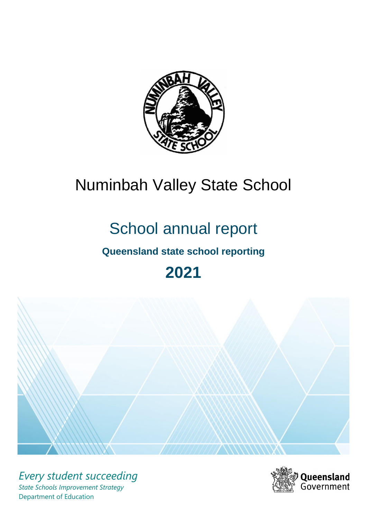

# Numinbah Valley State School

# School annual report

# **Queensland state school reporting**

# **2021**



*Every student succeeding State Schools Improvement Strategy* Department of Education

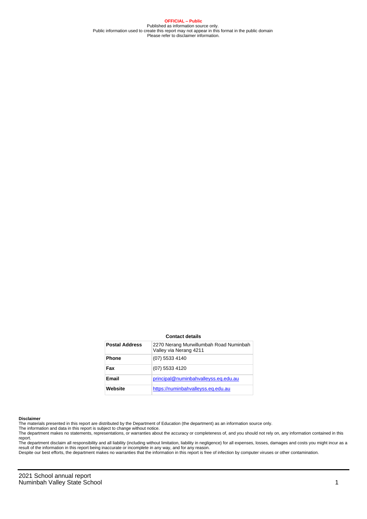**OFFICIAL – Public** Published as information source only. Public information used to create this report may not appear in this format in the public domain Please refer to disclaimer information.

#### **Contact details**

| <b>Postal Address</b> | 2270 Nerang Murwillumbah Road Numinbah<br>Valley via Nerang 4211 |
|-----------------------|------------------------------------------------------------------|
| <b>Phone</b>          | (07) 5533 4140                                                   |
| Fax                   | (07) 5533 4120                                                   |
| Email                 | principal@numinbahvalleyss.eq.edu.au                             |
| Website               | https://numinbahvalleyss.eq.edu.au                               |

#### **Disclaimer**

The materials presented in this report are distributed by the Department of Education (the department) as an information source only.

The information and data in this report is subject to change without notice.

The department makes no statements, representations, or warranties about the accuracy or completeness of, and you should not rely on, any information contained in this report.

The department disclaim all responsibility and all liability (including without limitation, liability in negligence) for all expenses, losses, damages and costs you might incur as a<br>result of the information in this report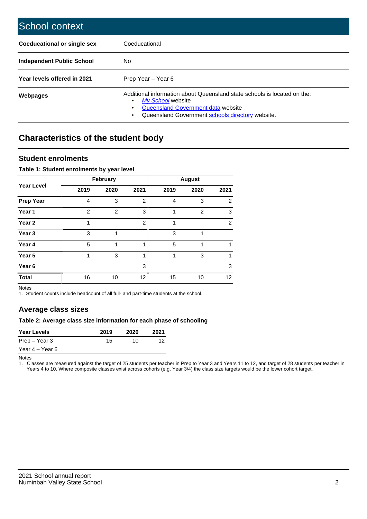| School context                   |                                                                                                                                                                                              |
|----------------------------------|----------------------------------------------------------------------------------------------------------------------------------------------------------------------------------------------|
| Coeducational or single sex      | Coeducational                                                                                                                                                                                |
| <b>Independent Public School</b> | No.                                                                                                                                                                                          |
| Year levels offered in 2021      | Prep Year - Year 6                                                                                                                                                                           |
| Webpages                         | Additional information about Queensland state schools is located on the:<br>My School website<br>Queensland Government data website<br>Queensland Government schools directory website.<br>٠ |

# **Characteristics of the student body**

### **Student enrolments**

#### **Table 1: Student enrolments by year level**

|                   | <b>February</b> |                |      | <b>August</b> |                |                 |  |
|-------------------|-----------------|----------------|------|---------------|----------------|-----------------|--|
| <b>Year Level</b> | 2019            | 2020           | 2021 | 2019          | 2020           | 2021            |  |
| <b>Prep Year</b>  | 4               | 3              | 2    | 4             | 3              | $\overline{2}$  |  |
| Year 1            | $\overline{2}$  | $\overline{2}$ | 3    | 1             | $\overline{2}$ | 3               |  |
| Year 2            | 1               |                | 2    | 1             |                | 2               |  |
| Year <sub>3</sub> | 3               | 1              |      | 3             | 1              |                 |  |
| Year 4            | 5               |                | 1    | 5             | 1              |                 |  |
| Year 5            | 1               | 3              | 1    |               | 3              | 1               |  |
| Year <sub>6</sub> |                 |                | 3    |               |                | 3               |  |
| <b>Total</b>      | 16              | 10             | 12   | 15            | 10             | 12 <sup>2</sup> |  |

Notes

1. Student counts include headcount of all full- and part-time students at the school.

## **Average class sizes**

#### **Table 2: Average class size information for each phase of schooling**

| <b>Year Levels</b> | 2019 | 2020 | 2021 |
|--------------------|------|------|------|
| Prep – Year 3      | 15   | 10.  | 12   |
| Year 4 – Year 6    |      |      |      |

Notes

1. Classes are measured against the target of 25 students per teacher in Prep to Year 3 and Years 11 to 12, and target of 28 students per teacher in Years 4 to 10. Where composite classes exist across cohorts (e.g. Year 3/4) the class size targets would be the lower cohort target.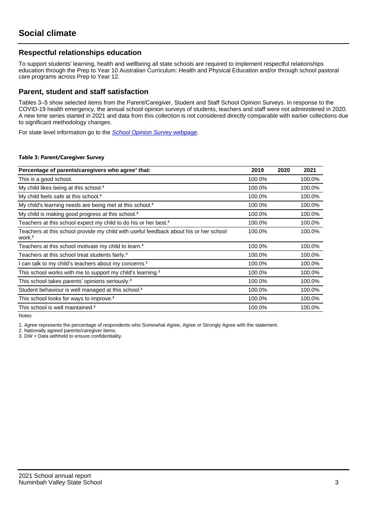## **Respectful relationships education**

To support students' learning, health and wellbeing all state schools are required to implement respectful relationships education through the Prep to Year 10 Australian Curriculum: Health and Physical Education and/or through school pastoral care programs across Prep to Year 12.

### **Parent, student and staff satisfaction**

Tables 3–5 show selected items from the Parent/Caregiver, Student and Staff School Opinion Surveys. In response to the COVID-19 health emergency, the annual school opinion surveys of students, teachers and staff were not administered in 2020. A new time series started in 2021 and data from this collection is not considered directly comparable with earlier collections due to significant methodology changes.

For state level information go to the **[School Opinion Survey](https://qed.qld.gov.au/publications/reports/statistics/schooling/schools/schoolopinionsurvey) webpage**.

#### **Table 3: Parent/Caregiver Survey**

| Percentage of parents/caregivers who agree <sup>1</sup> that:                                               | 2019   | 2020 | 2021   |
|-------------------------------------------------------------------------------------------------------------|--------|------|--------|
| This is a good school.                                                                                      | 100.0% |      | 100.0% |
| My child likes being at this school. <sup>2</sup>                                                           | 100.0% |      | 100.0% |
| My child feels safe at this school. <sup>2</sup>                                                            | 100.0% |      | 100.0% |
| My child's learning needs are being met at this school. <sup>2</sup>                                        | 100.0% |      | 100.0% |
| My child is making good progress at this school. <sup>2</sup>                                               | 100.0% |      | 100.0% |
| Teachers at this school expect my child to do his or her best. <sup>2</sup>                                 | 100.0% |      | 100.0% |
| Teachers at this school provide my child with useful feedback about his or her school<br>work. <sup>2</sup> | 100.0% |      | 100.0% |
| Teachers at this school motivate my child to learn. <sup>2</sup>                                            | 100.0% |      | 100.0% |
| Teachers at this school treat students fairly. <sup>2</sup>                                                 | 100.0% |      | 100.0% |
| I can talk to my child's teachers about my concerns. <sup>2</sup>                                           | 100.0% |      | 100.0% |
| This school works with me to support my child's learning. <sup>2</sup>                                      | 100.0% |      | 100.0% |
| This school takes parents' opinions seriously. <sup>2</sup>                                                 | 100.0% |      | 100.0% |
| Student behaviour is well managed at this school. <sup>2</sup>                                              | 100.0% |      | 100.0% |
| This school looks for ways to improve. <sup>2</sup>                                                         | 100.0% |      | 100.0% |
| This school is well maintained. <sup>2</sup>                                                                | 100.0% |      | 100.0% |

Notes

1. Agree represents the percentage of respondents who Somewhat Agree, Agree or Strongly Agree with the statement.

2. Nationally agreed parents/caregiver items.

3. DW = Data withheld to ensure confidentiality.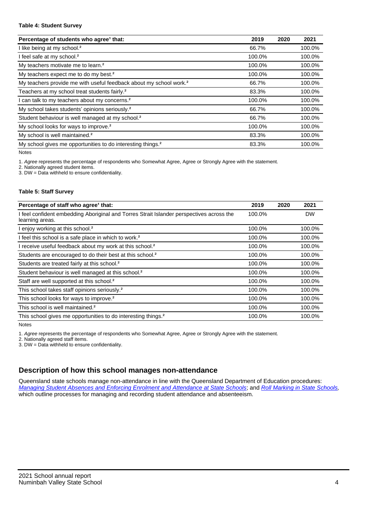#### **Table 4: Student Survey**

| Percentage of students who agree <sup>1</sup> that:                            | 2019   | 2020 | 2021   |
|--------------------------------------------------------------------------------|--------|------|--------|
| I like being at my school. <sup>2</sup>                                        | 66.7%  |      | 100.0% |
| I feel safe at my school. <sup>2</sup>                                         | 100.0% |      | 100.0% |
| My teachers motivate me to learn. <sup>2</sup>                                 | 100.0% |      | 100.0% |
| My teachers expect me to do my best. <sup>2</sup>                              | 100.0% |      | 100.0% |
| My teachers provide me with useful feedback about my school work. <sup>2</sup> | 66.7%  |      | 100.0% |
| Teachers at my school treat students fairly. <sup>2</sup>                      | 83.3%  |      | 100.0% |
| I can talk to my teachers about my concerns. <sup>2</sup>                      | 100.0% |      | 100.0% |
| My school takes students' opinions seriously. <sup>2</sup>                     | 66.7%  |      | 100.0% |
| Student behaviour is well managed at my school. <sup>2</sup>                   | 66.7%  |      | 100.0% |
| My school looks for ways to improve. <sup>2</sup>                              | 100.0% |      | 100.0% |
| My school is well maintained. <sup>2</sup>                                     | 83.3%  |      | 100.0% |
| My school gives me opportunities to do interesting things. <sup>2</sup>        | 83.3%  |      | 100.0% |

Notes

1. Agree represents the percentage of respondents who Somewhat Agree, Agree or Strongly Agree with the statement.

2. Nationally agreed student items.

3. DW = Data withheld to ensure confidentiality.

#### **Table 5: Staff Survey**

| Percentage of staff who agree <sup>1</sup> that:                                                            | 2019   | 2020 | 2021      |
|-------------------------------------------------------------------------------------------------------------|--------|------|-----------|
| I feel confident embedding Aboriginal and Torres Strait Islander perspectives across the<br>learning areas. | 100.0% |      | <b>DW</b> |
| I enjoy working at this school. <sup>2</sup>                                                                | 100.0% |      | 100.0%    |
| I feel this school is a safe place in which to work. <sup>2</sup>                                           | 100.0% |      | 100.0%    |
| I receive useful feedback about my work at this school. <sup>2</sup>                                        | 100.0% |      | 100.0%    |
| Students are encouraged to do their best at this school. <sup>2</sup>                                       | 100.0% |      | 100.0%    |
| Students are treated fairly at this school. <sup>2</sup>                                                    | 100.0% |      | 100.0%    |
| Student behaviour is well managed at this school. <sup>2</sup>                                              | 100.0% |      | 100.0%    |
| Staff are well supported at this school. <sup>2</sup>                                                       | 100.0% |      | 100.0%    |
| This school takes staff opinions seriously. <sup>2</sup>                                                    | 100.0% |      | 100.0%    |
| This school looks for ways to improve. <sup>2</sup>                                                         | 100.0% |      | 100.0%    |
| This school is well maintained. <sup>2</sup>                                                                | 100.0% |      | 100.0%    |
| This school gives me opportunities to do interesting things. <sup>2</sup>                                   | 100.0% |      | 100.0%    |

Notes

1. Agree represents the percentage of respondents who Somewhat Agree, Agree or Strongly Agree with the statement.

2. Nationally agreed staff items.

3. DW = Data withheld to ensure confidentiality.

## **Description of how this school manages non-attendance**

Queensland state schools manage non-attendance in line with the Queensland Department of Education procedures: [Managing Student Absences and Enforcing Enrolment and Attendance at State Schools](https://ppr.qed.qld.gov.au/pp/managing-student-absences-and-enforcing-enrolment-and-attendance-at-state-schools-procedure); and [Roll Marking in State Schools,](https://ppr.qed.qld.gov.au/pp/roll-marking-in-state-schools-procedure) which outline processes for managing and recording student attendance and absenteeism.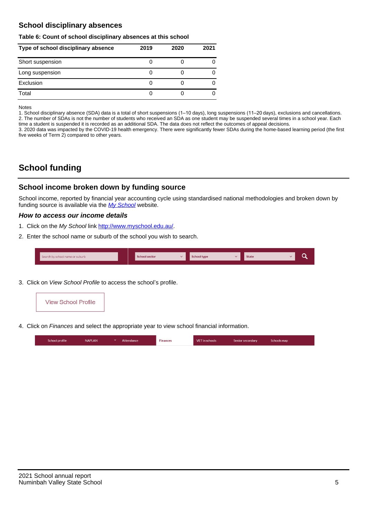## **School disciplinary absences**

#### **Table 6: Count of school disciplinary absences at this school**

| Type of school disciplinary absence | 2019 | 2020 | 2021 |
|-------------------------------------|------|------|------|
| Short suspension                    |      |      |      |
| Long suspension                     |      |      |      |
| Exclusion                           |      |      |      |
| Total                               |      |      |      |

Notes

1. School disciplinary absence (SDA) data is a total of short suspensions (1–10 days), long suspensions (11–20 days), exclusions and cancellations. 2. The number of SDAs is not the number of students who received an SDA as one student may be suspended several times in a school year. Each time a student is suspended it is recorded as an additional SDA. The data does not reflect the outcomes of appeal decisions.

3. 2020 data was impacted by the COVID-19 health emergency. There were significantly fewer SDAs during the home-based learning period (the first five weeks of Term 2) compared to other years.

# **School funding**

## **School income broken down by funding source**

School income, reported by financial year accounting cycle using standardised national methodologies and broken down by funding source is available via the [My School](http://www.myschool.edu.au/) website.

#### **How to access our income details**

- 1. Click on the My School link <http://www.myschool.edu.au/>.
- 2. Enter the school name or suburb of the school you wish to search.

|--|

3. Click on View School Profile to access the school's profile.



4. Click on Finances and select the appropriate year to view school financial information.

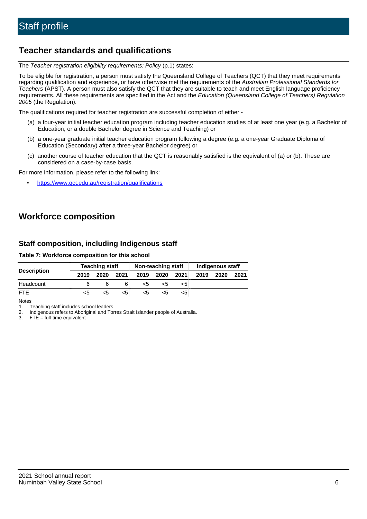## **Teacher standards and qualifications**

The Teacher registration eligibility requirements: Policy (p.1) states:

To be eligible for registration, a person must satisfy the Queensland College of Teachers (QCT) that they meet requirements regarding qualification and experience, or have otherwise met the requirements of the Australian Professional Standards for Teachers (APST). A person must also satisfy the QCT that they are suitable to teach and meet English language proficiency requirements. All these requirements are specified in the Act and the Education (Queensland College of Teachers) Regulation 2005 (the Regulation).

The qualifications required for teacher registration are successful completion of either -

- (a) a four-year initial teacher education program including teacher education studies of at least one year (e.g. a Bachelor of Education, or a double Bachelor degree in Science and Teaching) or
- (b) a one-year graduate initial teacher education program following a degree (e.g. a one-year Graduate Diploma of Education (Secondary) after a three-year Bachelor degree) or
- (c) another course of teacher education that the QCT is reasonably satisfied is the equivalent of (a) or (b). These are considered on a case-by-case basis.

For more information, please refer to the following link:

• <https://www.qct.edu.au/registration/qualifications>

# **Workforce composition**

## **Staff composition, including Indigenous staff**

#### **Table 7: Workforce composition for this school**

|                    | <b>Teaching staff</b> |      | Non-teaching staff |      |      | Indigenous staff |      |      |      |
|--------------------|-----------------------|------|--------------------|------|------|------------------|------|------|------|
| <b>Description</b> | 2019                  | 2020 | 2021               | 2019 | 2020 | 2021             | 2019 | 2020 | 2021 |
| Headcount          |                       |      |                    | <5   | <5   | <5               |      |      |      |
| <b>FTF</b>         | <5                    | <5   | <5                 | <5   | <5   | <5               |      |      |      |

Notes

1. Teaching staff includes school leaders.

2. Indigenous refers to Aboriginal and Torres Strait Islander people of Australia.

3. FTE = full-time equivalent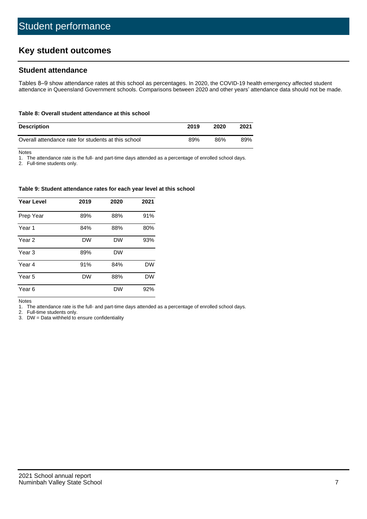# **Key student outcomes**

## **Student attendance**

Tables 8–9 show attendance rates at this school as percentages. In 2020, the COVID-19 health emergency affected student attendance in Queensland Government schools. Comparisons between 2020 and other years' attendance data should not be made.

#### **Table 8: Overall student attendance at this school**

| <b>Description</b>                                  | 2019 | 2020 | 2021 |
|-----------------------------------------------------|------|------|------|
| Overall attendance rate for students at this school | 89%  | 86%  | 89%  |

Notes

1. The attendance rate is the full- and part-time days attended as a percentage of enrolled school days.

2. Full-time students only.

#### **Table 9: Student attendance rates for each year level at this school**

| <b>Year Level</b> | 2019      | 2020      | 2021      |
|-------------------|-----------|-----------|-----------|
| Prep Year         | 89%       | 88%       | 91%       |
| Year <sub>1</sub> | 84%       | 88%       | 80%       |
| Year 2            | <b>DW</b> | <b>DW</b> | 93%       |
| Year <sub>3</sub> | 89%       | <b>DW</b> |           |
| Year 4            | 91%       | 84%       | <b>DW</b> |
| Year 5            | <b>DW</b> | 88%       | <b>DW</b> |
| Year 6            |           | <b>DW</b> | 92%       |

Notes

1. The attendance rate is the full- and part-time days attended as a percentage of enrolled school days.

2. Full-time students only.

3. DW = Data withheld to ensure confidentiality